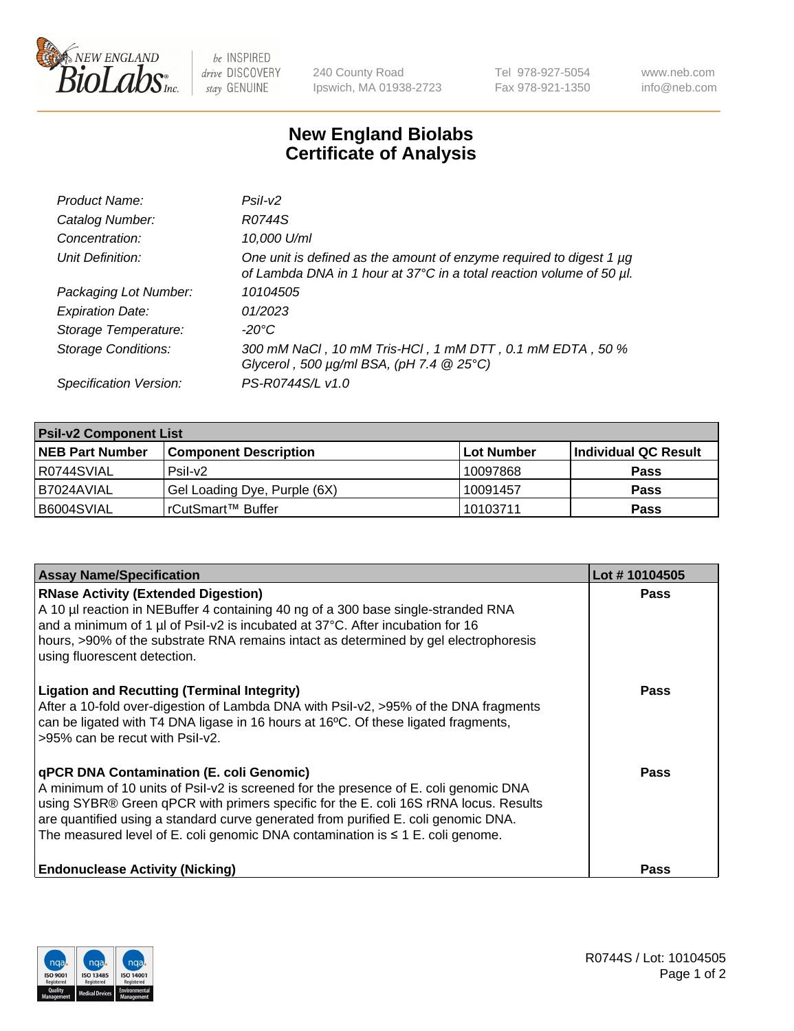

 $be$  INSPIRED drive DISCOVERY stay GENUINE

240 County Road Ipswich, MA 01938-2723 Tel 978-927-5054 Fax 978-921-1350 www.neb.com info@neb.com

## **New England Biolabs Certificate of Analysis**

| Product Name:              | Psi2                                                                                                                                        |
|----------------------------|---------------------------------------------------------------------------------------------------------------------------------------------|
| Catalog Number:            | R0744S                                                                                                                                      |
| Concentration:             | 10,000 U/ml                                                                                                                                 |
| Unit Definition:           | One unit is defined as the amount of enzyme required to digest 1 µg<br>of Lambda DNA in 1 hour at 37°C in a total reaction volume of 50 µl. |
| Packaging Lot Number:      | 10104505                                                                                                                                    |
| <b>Expiration Date:</b>    | 01/2023                                                                                                                                     |
| Storage Temperature:       | $-20^{\circ}$ C                                                                                                                             |
| <b>Storage Conditions:</b> | 300 mM NaCl, 10 mM Tris-HCl, 1 mM DTT, 0.1 mM EDTA, 50 %<br>Glycerol, 500 $\mu$ g/ml BSA, (pH 7.4 $@25°C$ )                                 |
| Specification Version:     | PS-R0744S/L v1.0                                                                                                                            |

| <b>Psil-v2 Component List</b> |                              |            |                      |  |  |
|-------------------------------|------------------------------|------------|----------------------|--|--|
| <b>NEB Part Number</b>        | <b>Component Description</b> | Lot Number | Individual QC Result |  |  |
| R0744SVIAL                    | $P$ sil-v $2$                | 10097868   | <b>Pass</b>          |  |  |
| I B7024AVIAL                  | Gel Loading Dye, Purple (6X) | 10091457   | <b>Pass</b>          |  |  |
| B6004SVIAL                    | l rCutSmart™ Buffer          | 10103711   | <b>Pass</b>          |  |  |

| <b>Assay Name/Specification</b>                                                                                                                                                                                                                                                                                                                                                                              | Lot #10104505 |
|--------------------------------------------------------------------------------------------------------------------------------------------------------------------------------------------------------------------------------------------------------------------------------------------------------------------------------------------------------------------------------------------------------------|---------------|
| <b>RNase Activity (Extended Digestion)</b><br>A 10 µl reaction in NEBuffer 4 containing 40 ng of a 300 base single-stranded RNA<br>and a minimum of 1 µl of Psil-v2 is incubated at 37°C. After incubation for 16<br>hours, >90% of the substrate RNA remains intact as determined by gel electrophoresis<br>using fluorescent detection.                                                                    | <b>Pass</b>   |
| <b>Ligation and Recutting (Terminal Integrity)</b><br>After a 10-fold over-digestion of Lambda DNA with Psil-v2, >95% of the DNA fragments<br>can be ligated with T4 DNA ligase in 16 hours at 16 $\degree$ C. Of these ligated fragments,<br>l>95% can be recut with Psil-v2.                                                                                                                               | Pass          |
| <b>qPCR DNA Contamination (E. coli Genomic)</b><br>A minimum of 10 units of Psil-v2 is screened for the presence of E. coli genomic DNA<br>using SYBR® Green qPCR with primers specific for the E. coli 16S rRNA locus. Results<br>are quantified using a standard curve generated from purified E. coli genomic DNA.<br>The measured level of E. coli genomic DNA contamination is $\leq 1$ E. coli genome. | Pass          |
| <b>Endonuclease Activity (Nicking)</b>                                                                                                                                                                                                                                                                                                                                                                       | Pass          |